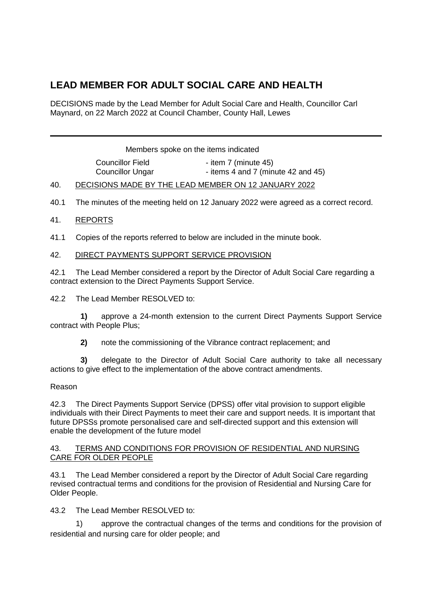# **LEAD MEMBER FOR ADULT SOCIAL CARE AND HEALTH**

DECISIONS made by the Lead Member for Adult Social Care and Health, Councillor Carl Maynard, on 22 March 2022 at Council Chamber, County Hall, Lewes

Members spoke on the items indicated

Councillor Field - item 7 (minute 45) Councillor Ungar - items 4 and 7 (minute 42 and 45)

## 40. DECISIONS MADE BY THE LEAD MEMBER ON 12 JANUARY 2022

40.1 The minutes of the meeting held on 12 January 2022 were agreed as a correct record.

## 41. REPORTS

41.1 Copies of the reports referred to below are included in the minute book.

## 42. DIRECT PAYMENTS SUPPORT SERVICE PROVISION

42.1 The Lead Member considered a report by the Director of Adult Social Care regarding a contract extension to the Direct Payments Support Service.

42.2 The Lead Member RESOLVED to:

**1)** approve a 24-month extension to the current Direct Payments Support Service contract with People Plus;

**2)** note the commissioning of the Vibrance contract replacement; and

**3)** delegate to the Director of Adult Social Care authority to take all necessary actions to give effect to the implementation of the above contract amendments.

#### Reason

42.3 The Direct Payments Support Service (DPSS) offer vital provision to support eligible individuals with their Direct Payments to meet their care and support needs. It is important that future DPSSs promote personalised care and self-directed support and this extension will enable the development of the future model

#### 43. TERMS AND CONDITIONS FOR PROVISION OF RESIDENTIAL AND NURSING CARE FOR OLDER PEOPLE

43.1 The Lead Member considered a report by the Director of Adult Social Care regarding revised contractual terms and conditions for the provision of Residential and Nursing Care for Older People.

43.2 The Lead Member RESOLVED to:

1) approve the contractual changes of the terms and conditions for the provision of residential and nursing care for older people; and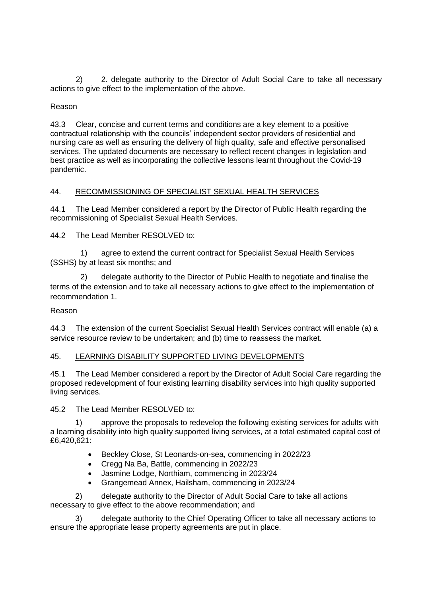2) 2. delegate authority to the Director of Adult Social Care to take all necessary actions to give effect to the implementation of the above.

## Reason

43.3 Clear, concise and current terms and conditions are a key element to a positive contractual relationship with the councils' independent sector providers of residential and nursing care as well as ensuring the delivery of high quality, safe and effective personalised services. The updated documents are necessary to reflect recent changes in legislation and best practice as well as incorporating the collective lessons learnt throughout the Covid-19 pandemic.

# 44. RECOMMISSIONING OF SPECIALIST SEXUAL HEALTH SERVICES

44.1 The Lead Member considered a report by the Director of Public Health regarding the recommissioning of Specialist Sexual Health Services.

44.2 The Lead Member RESOLVED to:

1) agree to extend the current contract for Specialist Sexual Health Services (SSHS) by at least six months; and

2) delegate authority to the Director of Public Health to negotiate and finalise the terms of the extension and to take all necessary actions to give effect to the implementation of recommendation 1.

#### Reason

44.3 The extension of the current Specialist Sexual Health Services contract will enable (a) a service resource review to be undertaken; and (b) time to reassess the market.

#### 45. LEARNING DISABILITY SUPPORTED LIVING DEVELOPMENTS

45.1 The Lead Member considered a report by the Director of Adult Social Care regarding the proposed redevelopment of four existing learning disability services into high quality supported living services.

45.2 The Lead Member RESOLVED to:

1) approve the proposals to redevelop the following existing services for adults with a learning disability into high quality supported living services, at a total estimated capital cost of £6,420,621:

- Beckley Close, St Leonards-on-sea, commencing in 2022/23
- Cregg Na Ba, Battle, commencing in 2022/23
- Jasmine Lodge, Northiam, commencing in 2023/24
- Grangemead Annex, Hailsham, commencing in 2023/24

2) delegate authority to the Director of Adult Social Care to take all actions necessary to give effect to the above recommendation; and

3) delegate authority to the Chief Operating Officer to take all necessary actions to ensure the appropriate lease property agreements are put in place.